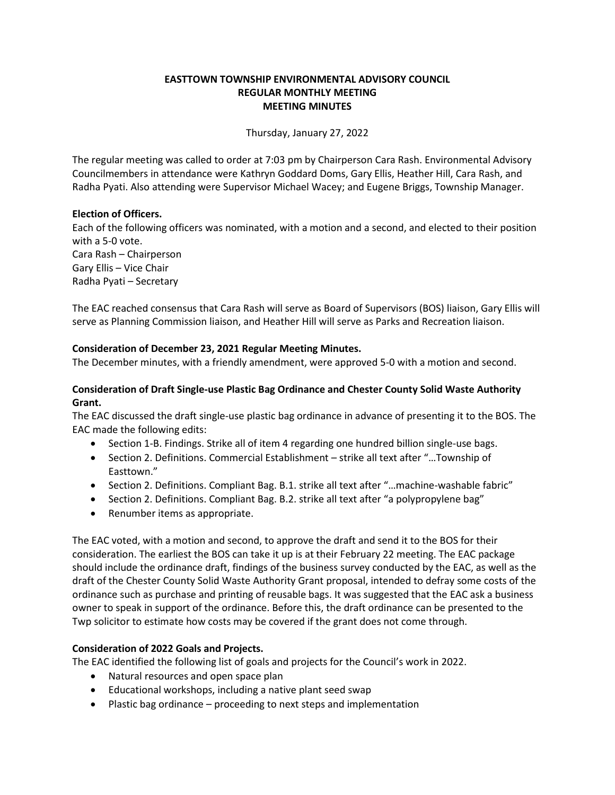### **EASTTOWN TOWNSHIP ENVIRONMENTAL ADVISORY COUNCIL REGULAR MONTHLY MEETING MEETING MINUTES**

Thursday, January 27, 2022

The regular meeting was called to order at 7:03 pm by Chairperson Cara Rash. Environmental Advisory Councilmembers in attendance were Kathryn Goddard Doms, Gary Ellis, Heather Hill, Cara Rash, and Radha Pyati. Also attending were Supervisor Michael Wacey; and Eugene Briggs, Township Manager.

### **Election of Officers.**

Each of the following officers was nominated, with a motion and a second, and elected to their position with a 5-0 vote. Cara Rash – Chairperson Gary Ellis – Vice Chair Radha Pyati – Secretary

The EAC reached consensus that Cara Rash will serve as Board of Supervisors (BOS) liaison, Gary Ellis will serve as Planning Commission liaison, and Heather Hill will serve as Parks and Recreation liaison.

### **Consideration of December 23, 2021 Regular Meeting Minutes.**

The December minutes, with a friendly amendment, were approved 5-0 with a motion and second.

### **Consideration of Draft Single-use Plastic Bag Ordinance and Chester County Solid Waste Authority Grant.**

The EAC discussed the draft single-use plastic bag ordinance in advance of presenting it to the BOS. The EAC made the following edits:

- Section 1-B. Findings. Strike all of item 4 regarding one hundred billion single-use bags.
- Section 2. Definitions. Commercial Establishment strike all text after "…Township of Easttown."
- Section 2. Definitions. Compliant Bag. B.1. strike all text after "...machine-washable fabric"
- Section 2. Definitions. Compliant Bag. B.2. strike all text after "a polypropylene bag"
- Renumber items as appropriate.

The EAC voted, with a motion and second, to approve the draft and send it to the BOS for their consideration. The earliest the BOS can take it up is at their February 22 meeting. The EAC package should include the ordinance draft, findings of the business survey conducted by the EAC, as well as the draft of the Chester County Solid Waste Authority Grant proposal, intended to defray some costs of the ordinance such as purchase and printing of reusable bags. It was suggested that the EAC ask a business owner to speak in support of the ordinance. Before this, the draft ordinance can be presented to the Twp solicitor to estimate how costs may be covered if the grant does not come through.

### **Consideration of 2022 Goals and Projects.**

The EAC identified the following list of goals and projects for the Council's work in 2022.

- Natural resources and open space plan
- Educational workshops, including a native plant seed swap
- Plastic bag ordinance proceeding to next steps and implementation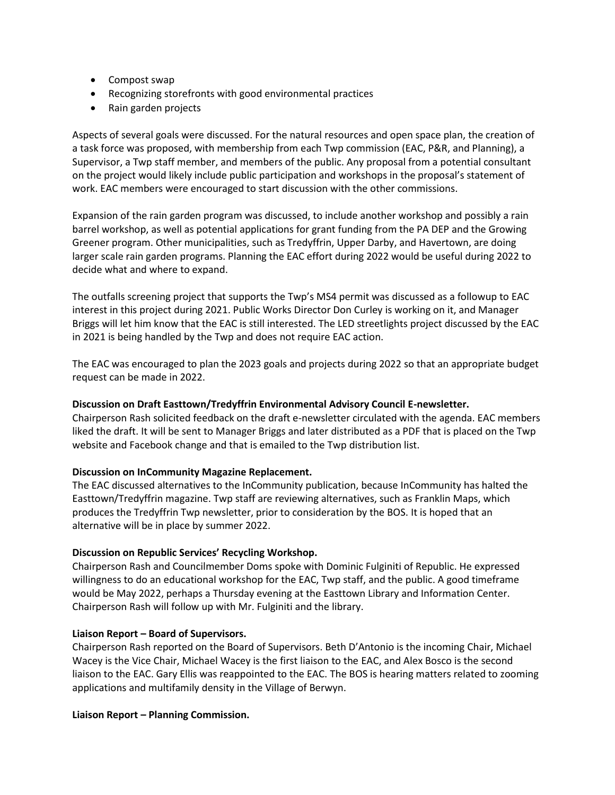- Compost swap
- Recognizing storefronts with good environmental practices
- Rain garden projects

Aspects of several goals were discussed. For the natural resources and open space plan, the creation of a task force was proposed, with membership from each Twp commission (EAC, P&R, and Planning), a Supervisor, a Twp staff member, and members of the public. Any proposal from a potential consultant on the project would likely include public participation and workshops in the proposal's statement of work. EAC members were encouraged to start discussion with the other commissions.

Expansion of the rain garden program was discussed, to include another workshop and possibly a rain barrel workshop, as well as potential applications for grant funding from the PA DEP and the Growing Greener program. Other municipalities, such as Tredyffrin, Upper Darby, and Havertown, are doing larger scale rain garden programs. Planning the EAC effort during 2022 would be useful during 2022 to decide what and where to expand.

The outfalls screening project that supports the Twp's MS4 permit was discussed as a followup to EAC interest in this project during 2021. Public Works Director Don Curley is working on it, and Manager Briggs will let him know that the EAC is still interested. The LED streetlights project discussed by the EAC in 2021 is being handled by the Twp and does not require EAC action.

The EAC was encouraged to plan the 2023 goals and projects during 2022 so that an appropriate budget request can be made in 2022.

### **Discussion on Draft Easttown/Tredyffrin Environmental Advisory Council E-newsletter.**

Chairperson Rash solicited feedback on the draft e-newsletter circulated with the agenda. EAC members liked the draft. It will be sent to Manager Briggs and later distributed as a PDF that is placed on the Twp website and Facebook change and that is emailed to the Twp distribution list.

### **Discussion on InCommunity Magazine Replacement.**

The EAC discussed alternatives to the InCommunity publication, because InCommunity has halted the Easttown/Tredyffrin magazine. Twp staff are reviewing alternatives, such as Franklin Maps, which produces the Tredyffrin Twp newsletter, prior to consideration by the BOS. It is hoped that an alternative will be in place by summer 2022.

# **Discussion on Republic Services' Recycling Workshop.**

Chairperson Rash and Councilmember Doms spoke with Dominic Fulginiti of Republic. He expressed willingness to do an educational workshop for the EAC, Twp staff, and the public. A good timeframe would be May 2022, perhaps a Thursday evening at the Easttown Library and Information Center. Chairperson Rash will follow up with Mr. Fulginiti and the library.

### **Liaison Report – Board of Supervisors.**

Chairperson Rash reported on the Board of Supervisors. Beth D'Antonio is the incoming Chair, Michael Wacey is the Vice Chair, Michael Wacey is the first liaison to the EAC, and Alex Bosco is the second liaison to the EAC. Gary Ellis was reappointed to the EAC. The BOS is hearing matters related to zooming applications and multifamily density in the Village of Berwyn.

### **Liaison Report – Planning Commission.**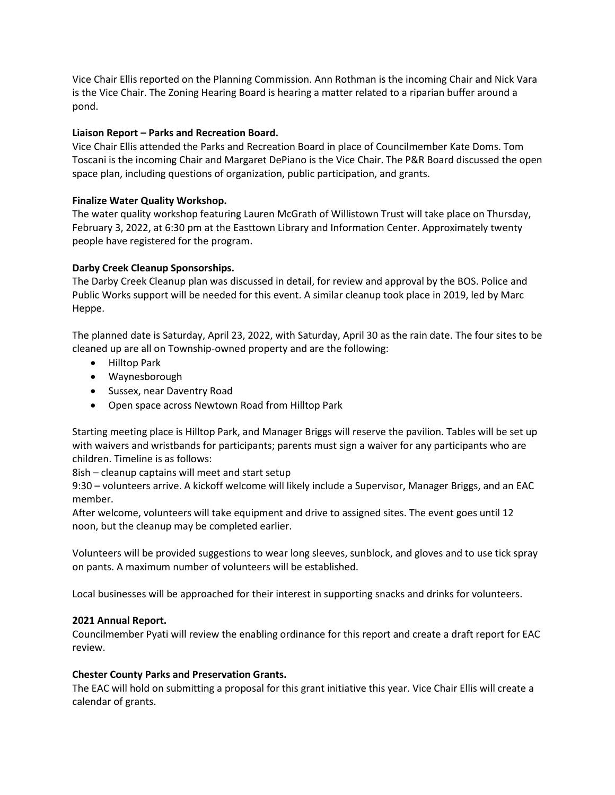Vice Chair Ellis reported on the Planning Commission. Ann Rothman is the incoming Chair and Nick Vara is the Vice Chair. The Zoning Hearing Board is hearing a matter related to a riparian buffer around a pond.

### **Liaison Report – Parks and Recreation Board.**

Vice Chair Ellis attended the Parks and Recreation Board in place of Councilmember Kate Doms. Tom Toscani is the incoming Chair and Margaret DePiano is the Vice Chair. The P&R Board discussed the open space plan, including questions of organization, public participation, and grants.

## **Finalize Water Quality Workshop.**

The water quality workshop featuring Lauren McGrath of Willistown Trust will take place on Thursday, February 3, 2022, at 6:30 pm at the Easttown Library and Information Center. Approximately twenty people have registered for the program.

## **Darby Creek Cleanup Sponsorships.**

The Darby Creek Cleanup plan was discussed in detail, for review and approval by the BOS. Police and Public Works support will be needed for this event. A similar cleanup took place in 2019, led by Marc Heppe.

The planned date is Saturday, April 23, 2022, with Saturday, April 30 as the rain date. The four sites to be cleaned up are all on Township-owned property and are the following:

- Hilltop Park
- Waynesborough
- Sussex, near Daventry Road
- Open space across Newtown Road from Hilltop Park

Starting meeting place is Hilltop Park, and Manager Briggs will reserve the pavilion. Tables will be set up with waivers and wristbands for participants; parents must sign a waiver for any participants who are children. Timeline is as follows:

8ish – cleanup captains will meet and start setup

9:30 – volunteers arrive. A kickoff welcome will likely include a Supervisor, Manager Briggs, and an EAC member.

After welcome, volunteers will take equipment and drive to assigned sites. The event goes until 12 noon, but the cleanup may be completed earlier.

Volunteers will be provided suggestions to wear long sleeves, sunblock, and gloves and to use tick spray on pants. A maximum number of volunteers will be established.

Local businesses will be approached for their interest in supporting snacks and drinks for volunteers.

### **2021 Annual Report.**

Councilmember Pyati will review the enabling ordinance for this report and create a draft report for EAC review.

### **Chester County Parks and Preservation Grants.**

The EAC will hold on submitting a proposal for this grant initiative this year. Vice Chair Ellis will create a calendar of grants.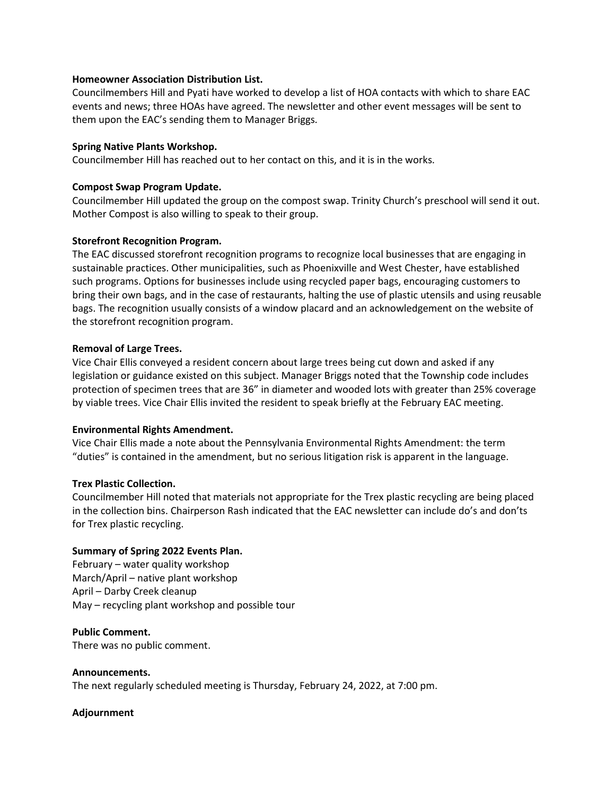#### **Homeowner Association Distribution List.**

Councilmembers Hill and Pyati have worked to develop a list of HOA contacts with which to share EAC events and news; three HOAs have agreed. The newsletter and other event messages will be sent to them upon the EAC's sending them to Manager Briggs.

### **Spring Native Plants Workshop.**

Councilmember Hill has reached out to her contact on this, and it is in the works.

### **Compost Swap Program Update.**

Councilmember Hill updated the group on the compost swap. Trinity Church's preschool will send it out. Mother Compost is also willing to speak to their group.

## **Storefront Recognition Program.**

The EAC discussed storefront recognition programs to recognize local businesses that are engaging in sustainable practices. Other municipalities, such as Phoenixville and West Chester, have established such programs. Options for businesses include using recycled paper bags, encouraging customers to bring their own bags, and in the case of restaurants, halting the use of plastic utensils and using reusable bags. The recognition usually consists of a window placard and an acknowledgement on the website of the storefront recognition program.

### **Removal of Large Trees.**

Vice Chair Ellis conveyed a resident concern about large trees being cut down and asked if any legislation or guidance existed on this subject. Manager Briggs noted that the Township code includes protection of specimen trees that are 36" in diameter and wooded lots with greater than 25% coverage by viable trees. Vice Chair Ellis invited the resident to speak briefly at the February EAC meeting.

### **Environmental Rights Amendment.**

Vice Chair Ellis made a note about the Pennsylvania Environmental Rights Amendment: the term "duties" is contained in the amendment, but no serious litigation risk is apparent in the language.

### **Trex Plastic Collection.**

Councilmember Hill noted that materials not appropriate for the Trex plastic recycling are being placed in the collection bins. Chairperson Rash indicated that the EAC newsletter can include do's and don'ts for Trex plastic recycling.

### **Summary of Spring 2022 Events Plan.**

February – water quality workshop March/April – native plant workshop April – Darby Creek cleanup May – recycling plant workshop and possible tour

### **Public Comment.**

There was no public comment.

**Announcements.** The next regularly scheduled meeting is Thursday, February 24, 2022, at 7:00 pm.

### **Adjournment**